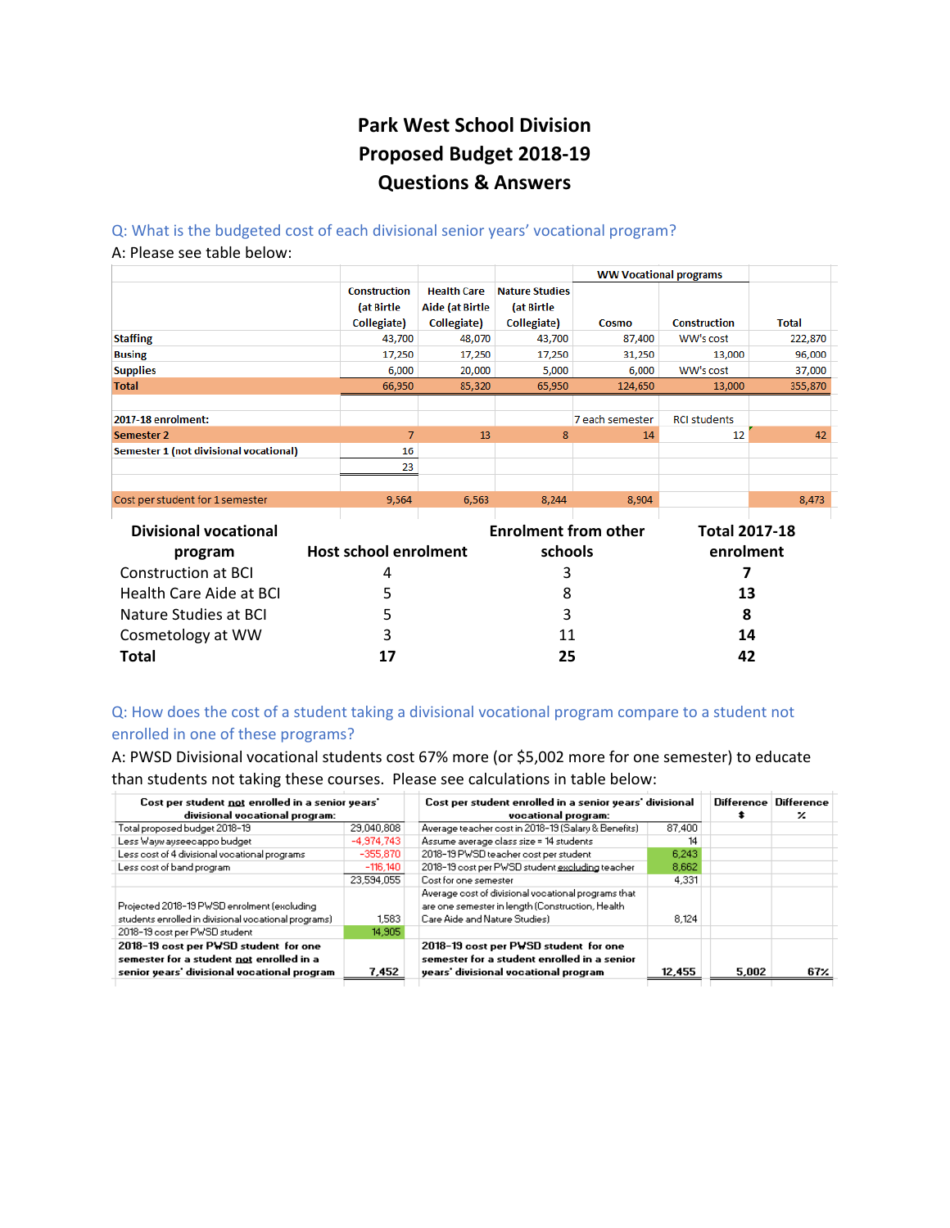# **Park West School Division Proposed Budget 2018‐19 Questions & Answers**

# Q: What is the budgeted cost of each divisional senior years' vocational program?

#### A: Please see table below:

|                                        |                     |                       |                             |                 | <b>WW Vocational programs</b> |              |  |
|----------------------------------------|---------------------|-----------------------|-----------------------------|-----------------|-------------------------------|--------------|--|
|                                        | <b>Construction</b> | <b>Health Care</b>    | <b>Nature Studies</b>       |                 |                               |              |  |
|                                        | (at Birtle          | Aide (at Birtle       | (at Birtle                  |                 |                               |              |  |
|                                        | Collegiate)         | Collegiate)           | Collegiate)                 | Cosmo           | <b>Construction</b>           | <b>Total</b> |  |
| <b>Staffing</b>                        | 43,700              | 48,070                | 43,700                      | 87,400          | WW's cost                     | 222,870      |  |
| <b>Busing</b>                          | 17,250              | 17,250                | 17,250                      | 31,250          | 13,000                        | 96,000       |  |
| <b>Supplies</b>                        | 6,000               | 20,000                | 5,000                       | 6,000           | WW's cost                     | 37,000       |  |
| <b>Total</b>                           | 66,950              | 85,320                | 65,950                      | 124,650         | 13,000                        | 355,870      |  |
|                                        |                     |                       |                             |                 |                               |              |  |
| 2017-18 enrolment:                     |                     |                       |                             | 7 each semester | <b>RCI students</b>           |              |  |
| Semester 2                             | $\overline{7}$      | 13                    | 8                           | 14              | 12                            | 42           |  |
| Semester 1 (not divisional vocational) | 16                  |                       |                             |                 |                               |              |  |
|                                        | 23                  |                       |                             |                 |                               |              |  |
|                                        |                     |                       |                             |                 |                               |              |  |
| Cost per student for 1 semester        | 9,564               | 6,563                 | 8,244                       | 8,904           |                               | 8,473        |  |
|                                        |                     |                       |                             |                 |                               |              |  |
| <b>Divisional vocational</b>           |                     |                       | <b>Enrolment from other</b> |                 | <b>Total 2017-18</b>          |              |  |
| program                                |                     | Host school enrolment |                             | schools         |                               | enrolment    |  |
| <b>Construction at BCI</b>             | 4                   |                       | 3                           |                 |                               |              |  |

| <u>MIYAIYIII</u>        |    | ------- | .  |
|-------------------------|----|---------|----|
| Construction at BCI     |    |         |    |
| Health Care Aide at BCI | 5. |         | 13 |
| Nature Studies at BCI   |    | ર       |    |
| Cosmetology at WW       | ર  | 11      | 14 |
| Total                   | 17 | 25      | 42 |
|                         |    |         |    |

# Q: How does the cost of a student taking a divisional vocational program compare to a student not enrolled in one of these programs?

A: PWSD Divisional vocational students cost 67% more (or \$5,002 more for one semester) to educate than students not taking these courses. Please see calculations in table below:

| Cost per student not enrolled in a senior years'<br>divisional vocational program:                                               |              | Cost per student enrolled in a senior years' divisional<br>vocational program:                                                            |        | Difference Difference | ×   |
|----------------------------------------------------------------------------------------------------------------------------------|--------------|-------------------------------------------------------------------------------------------------------------------------------------------|--------|-----------------------|-----|
| Total proposed budget 2018-19                                                                                                    | 29,040,808   | Average teacher cost in 2018-19 (Salary & Benefits)                                                                                       | 87.400 |                       |     |
| Less Waywayseecappo budget                                                                                                       | $-4,974,743$ | Assume average class size = 14 students                                                                                                   | 14     |                       |     |
| Less cost of 4 divisional vocational programs                                                                                    | $-355.870$   | 2018-19 PWSD teacher cost per student                                                                                                     | 6,243  |                       |     |
| Less cost of band program                                                                                                        | $-116.140$   | 2018-19 cost per PWSD student excluding teacher                                                                                           | 8.662  |                       |     |
|                                                                                                                                  | 23.594.055   | Cost for one semester                                                                                                                     | 4,331  |                       |     |
| Projected 2018-19 PWSD enrolment (excluding<br>students enrolled in divisional vocational programs)                              | 1.583        | Average cost of divisional vocational programs that<br>are one semester in length (Construction, Health<br>Care Aide and Nature Studies). | 8.124  |                       |     |
| 2018–19 cost per PWSD student                                                                                                    | 14,905       |                                                                                                                                           |        |                       |     |
| 2018-19 cost per PWSD student for one<br>semester for a student not enrolled in a<br>senior years' divisional vocational program | 7,452        | 2018-19 cost per PWSD student for one<br>semester for a student enrolled in a senior<br>years' divisional vocational program              | 12,455 | 5.002                 | 67% |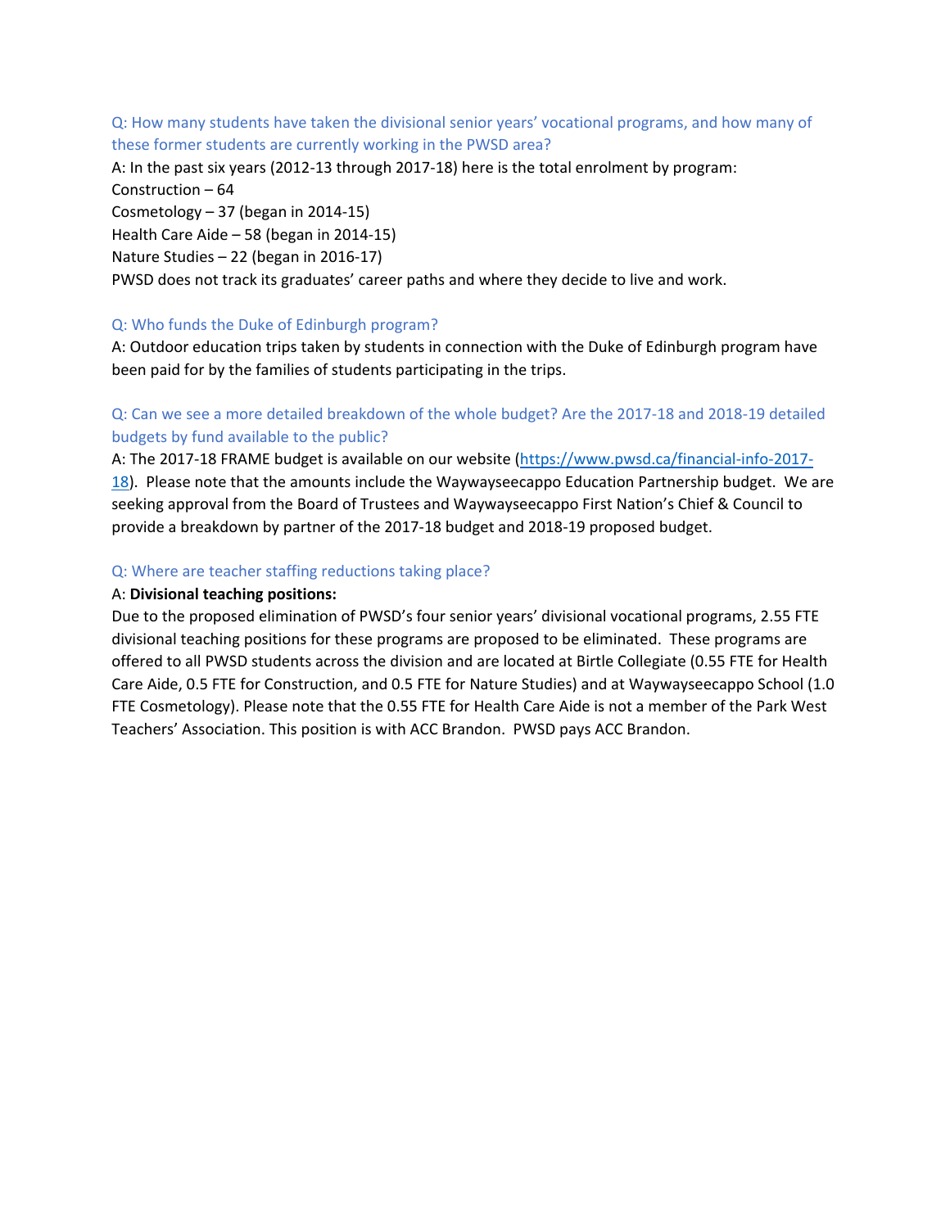# Q: How many students have taken the divisional senior years' vocational programs, and how many of these former students are currently working in the PWSD area?

A: In the past six years (2012‐13 through 2017‐18) here is the total enrolment by program: Construction – 64 Cosmetology – 37 (began in 2014‐15) Health Care Aide – 58 (began in 2014‐15) Nature Studies – 22 (began in 2016‐17) PWSD does not track its graduates' career paths and where they decide to live and work.

# Q: Who funds the Duke of Edinburgh program?

A: Outdoor education trips taken by students in connection with the Duke of Edinburgh program have been paid for by the families of students participating in the trips.

# Q: Can we see a more detailed breakdown of the whole budget? Are the 2017‐18 and 2018‐19 detailed budgets by fund available to the public?

A: The 2017-18 FRAME budget is available on our website (https://www.pwsd.ca/financial-info-2017-18). Please note that the amounts include the Waywayseecappo Education Partnership budget. We are seeking approval from the Board of Trustees and Waywayseecappo First Nation's Chief & Council to provide a breakdown by partner of the 2017‐18 budget and 2018‐19 proposed budget.

# Q: Where are teacher staffing reductions taking place?

# A: **Divisional teaching positions:**

Due to the proposed elimination of PWSD's four senior years' divisional vocational programs, 2.55 FTE divisional teaching positions for these programs are proposed to be eliminated. These programs are offered to all PWSD students across the division and are located at Birtle Collegiate (0.55 FTE for Health Care Aide, 0.5 FTE for Construction, and 0.5 FTE for Nature Studies) and at Waywayseecappo School (1.0 FTE Cosmetology). Please note that the 0.55 FTE for Health Care Aide is not a member of the Park West Teachers' Association. This position is with ACC Brandon. PWSD pays ACC Brandon.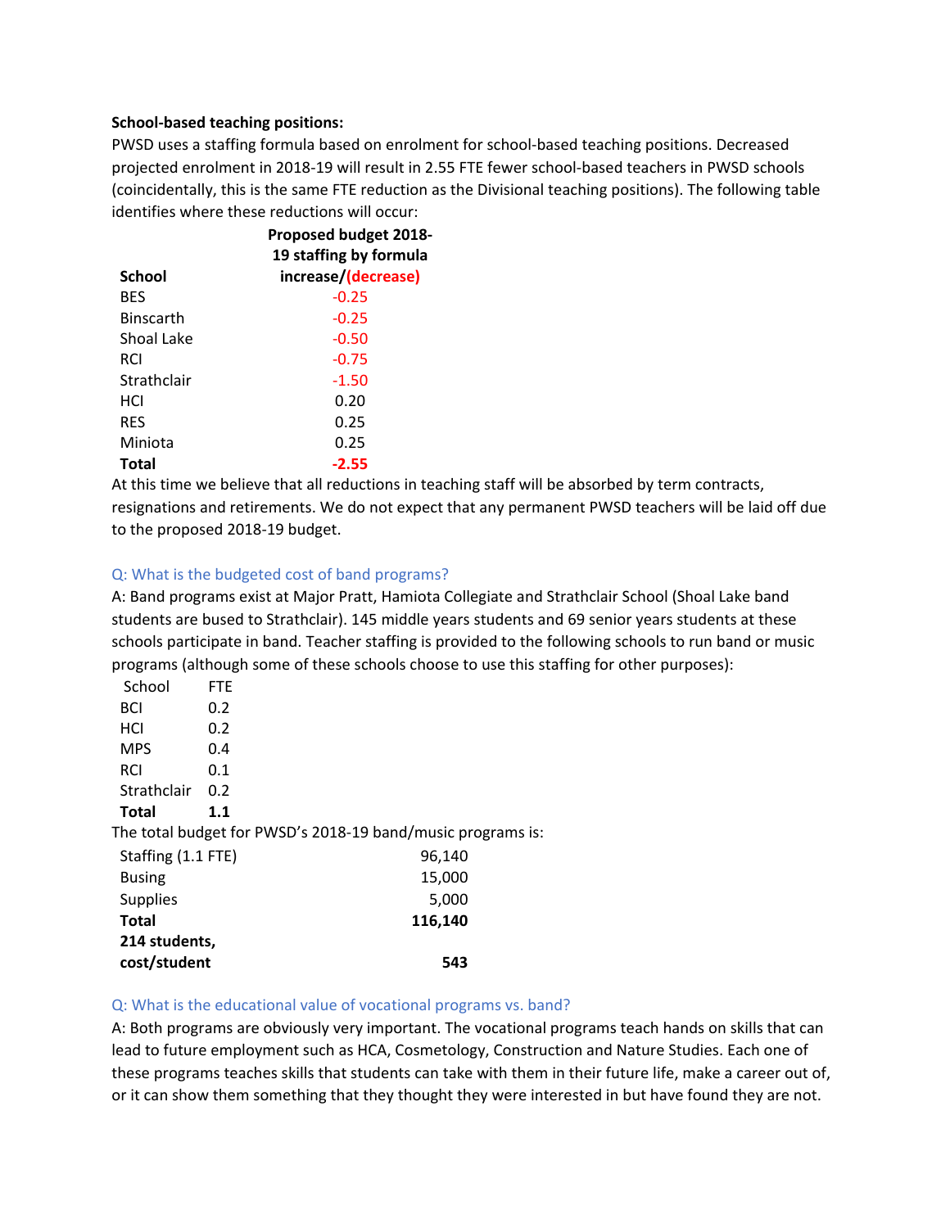### **School‐based teaching positions:**

PWSD uses a staffing formula based on enrolment for school‐based teaching positions. Decreased projected enrolment in 2018‐19 will result in 2.55 FTE fewer school‐based teachers in PWSD schools (coincidentally, this is the same FTE reduction as the Divisional teaching positions). The following table identifies where these reductions will occur:

|                  | <b>Proposed budget 2018-</b><br>19 staffing by formula |
|------------------|--------------------------------------------------------|
| <b>School</b>    | increase/(decrease)                                    |
| <b>BFS</b>       | $-0.25$                                                |
| <b>Binscarth</b> | $-0.25$                                                |
| Shoal Lake       | $-0.50$                                                |
| RCI              | $-0.75$                                                |
| Strathclair      | $-1.50$                                                |
| HCI              | 0.20                                                   |
| <b>RFS</b>       | 0.25                                                   |
| Miniota          | 0.25                                                   |
| Total            | -2.55                                                  |

At this time we believe that all reductions in teaching staff will be absorbed by term contracts, resignations and retirements. We do not expect that any permanent PWSD teachers will be laid off due to the proposed 2018‐19 budget.

### Q: What is the budgeted cost of band programs?

A: Band programs exist at Major Pratt, Hamiota Collegiate and Strathclair School (Shoal Lake band students are bused to Strathclair). 145 middle years students and 69 senior years students at these schools participate in band. Teacher staffing is provided to the following schools to run band or music programs (although some of these schools choose to use this staffing for other purposes):

| School             | FTE. |                                                             |  |
|--------------------|------|-------------------------------------------------------------|--|
| BCI                | 0.2  |                                                             |  |
| HCI                | 0.2  |                                                             |  |
| <b>MPS</b>         | 0.4  |                                                             |  |
| <b>RCI</b>         | 0.1  |                                                             |  |
| Strathclair        | 0.2  |                                                             |  |
| <b>Total</b>       | 1.1  |                                                             |  |
|                    |      | The total budget for PWSD's 2018-19 band/music programs is: |  |
| Staffing (1.1 FTE) |      | 96,140                                                      |  |
| <b>Busing</b>      |      | 15,000                                                      |  |
| <b>Supplies</b>    |      | 5,000                                                       |  |
| <b>Total</b>       |      | 116,140                                                     |  |
| 214 students,      |      |                                                             |  |
| cost/student       |      | 543                                                         |  |

#### Q: What is the educational value of vocational programs vs. band?

A: Both programs are obviously very important. The vocational programs teach hands on skills that can lead to future employment such as HCA, Cosmetology, Construction and Nature Studies. Each one of these programs teaches skills that students can take with them in their future life, make a career out of, or it can show them something that they thought they were interested in but have found they are not.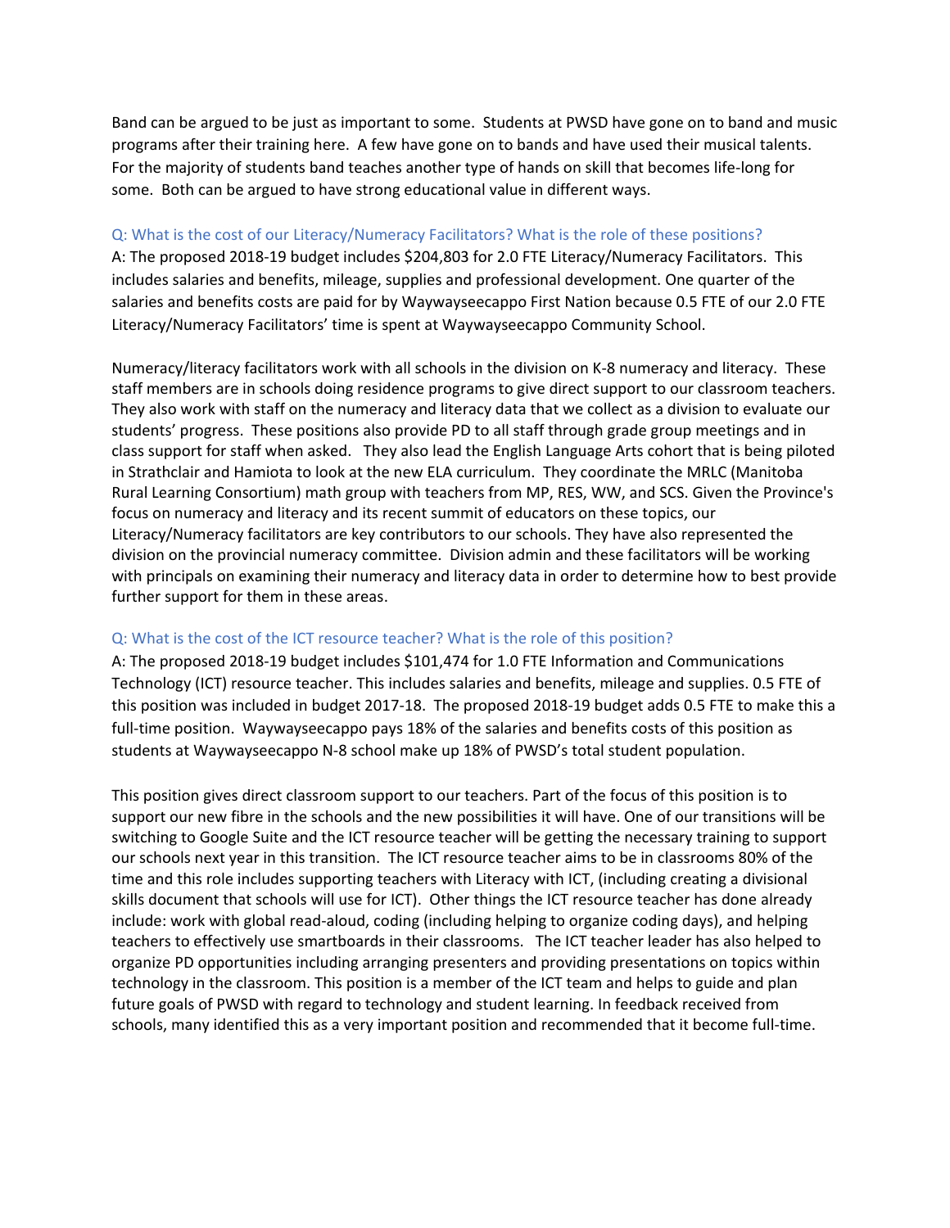Band can be argued to be just as important to some. Students at PWSD have gone on to band and music programs after their training here. A few have gone on to bands and have used their musical talents. For the majority of students band teaches another type of hands on skill that becomes life‐long for some. Both can be argued to have strong educational value in different ways.

# Q: What is the cost of our Literacy/Numeracy Facilitators? What is the role of these positions?

A: The proposed 2018‐19 budget includes \$204,803 for 2.0 FTE Literacy/Numeracy Facilitators. This includes salaries and benefits, mileage, supplies and professional development. One quarter of the salaries and benefits costs are paid for by Waywayseecappo First Nation because 0.5 FTE of our 2.0 FTE Literacy/Numeracy Facilitators' time is spent at Waywayseecappo Community School.

Numeracy/literacy facilitators work with all schools in the division on K‐8 numeracy and literacy. These staff members are in schools doing residence programs to give direct support to our classroom teachers. They also work with staff on the numeracy and literacy data that we collect as a division to evaluate our students' progress. These positions also provide PD to all staff through grade group meetings and in class support for staff when asked. They also lead the English Language Arts cohort that is being piloted in Strathclair and Hamiota to look at the new ELA curriculum. They coordinate the MRLC (Manitoba Rural Learning Consortium) math group with teachers from MP, RES, WW, and SCS. Given the Province's focus on numeracy and literacy and its recent summit of educators on these topics, our Literacy/Numeracy facilitators are key contributors to our schools. They have also represented the division on the provincial numeracy committee. Division admin and these facilitators will be working with principals on examining their numeracy and literacy data in order to determine how to best provide further support for them in these areas.

# Q: What is the cost of the ICT resource teacher? What is the role of this position?

A: The proposed 2018‐19 budget includes \$101,474 for 1.0 FTE Information and Communications Technology (ICT) resource teacher. This includes salaries and benefits, mileage and supplies. 0.5 FTE of this position was included in budget 2017‐18. The proposed 2018‐19 budget adds 0.5 FTE to make this a full-time position. Waywayseecappo pays 18% of the salaries and benefits costs of this position as students at Waywayseecappo N‐8 school make up 18% of PWSD's total student population.

This position gives direct classroom support to our teachers. Part of the focus of this position is to support our new fibre in the schools and the new possibilities it will have. One of our transitions will be switching to Google Suite and the ICT resource teacher will be getting the necessary training to support our schools next year in this transition. The ICT resource teacher aims to be in classrooms 80% of the time and this role includes supporting teachers with Literacy with ICT, (including creating a divisional skills document that schools will use for ICT). Other things the ICT resource teacher has done already include: work with global read‐aloud, coding (including helping to organize coding days), and helping teachers to effectively use smartboards in their classrooms. The ICT teacher leader has also helped to organize PD opportunities including arranging presenters and providing presentations on topics within technology in the classroom. This position is a member of the ICT team and helps to guide and plan future goals of PWSD with regard to technology and student learning. In feedback received from schools, many identified this as a very important position and recommended that it become full-time.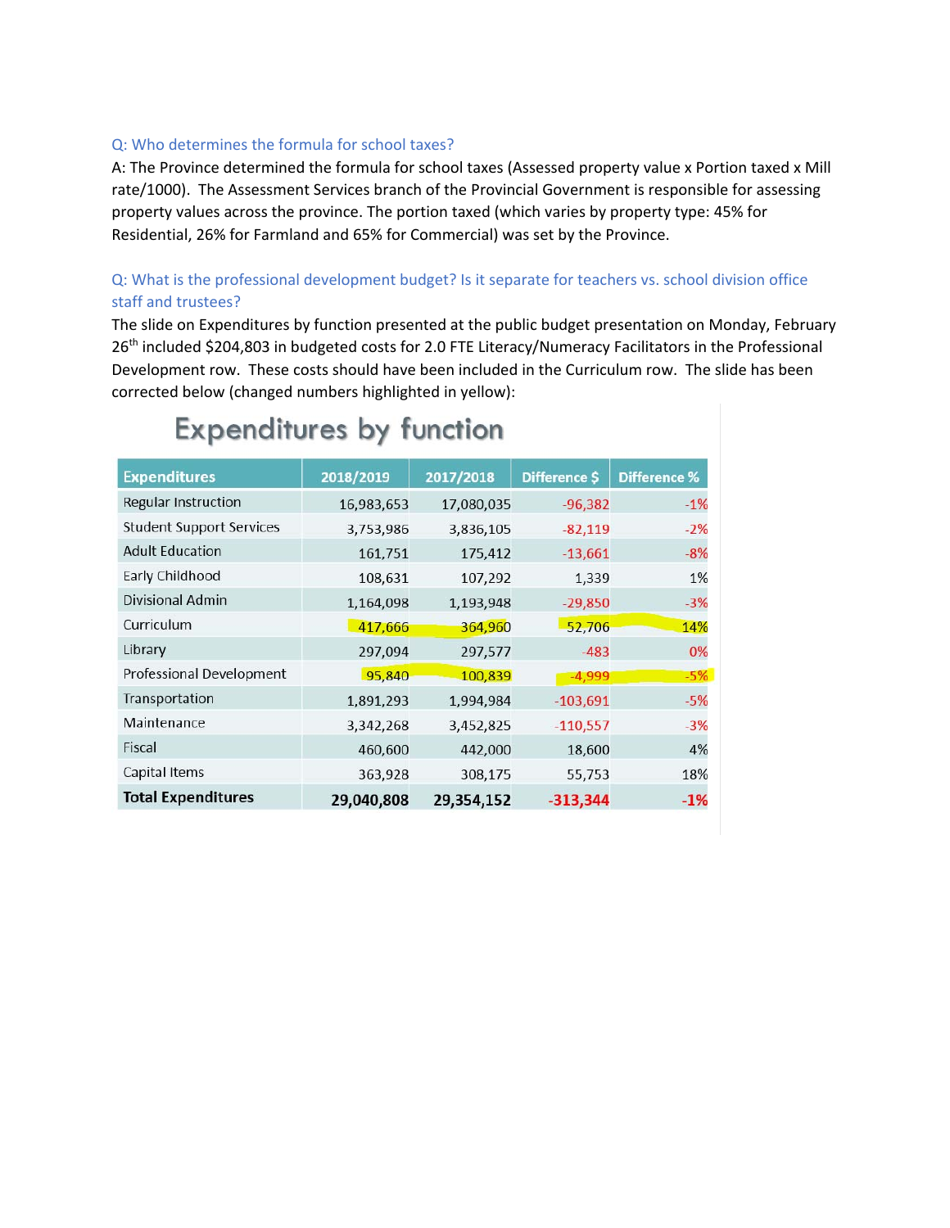# Q: Who determines the formula for school taxes?

A: The Province determined the formula for school taxes (Assessed property value x Portion taxed x Mill rate/1000). The Assessment Services branch of the Provincial Government is responsible for assessing property values across the province. The portion taxed (which varies by property type: 45% for Residential, 26% for Farmland and 65% for Commercial) was set by the Province.

# Q: What is the professional development budget? Is it separate for teachers vs. school division office staff and trustees?

The slide on Expenditures by function presented at the public budget presentation on Monday, February 26<sup>th</sup> included \$204,803 in budgeted costs for 2.0 FTE Literacy/Numeracy Facilitators in the Professional Development row. These costs should have been included in the Curriculum row. The slide has been corrected below (changed numbers highlighted in yellow):

| <b>Expenditures</b>             | 2018/2019  | 2017/2018  | Difference \$ | <b>Difference %</b> |
|---------------------------------|------------|------------|---------------|---------------------|
| Regular Instruction             | 16,983,653 | 17,080,035 | $-96,382$     | $-1%$               |
| <b>Student Support Services</b> | 3,753,986  | 3,836,105  | $-82,119$     | $-2%$               |
| <b>Adult Education</b>          | 161,751    | 175,412    | $-13,661$     | $-8%$               |
| Early Childhood                 | 108,631    | 107,292    | 1,339         | 1%                  |
| <b>Divisional Admin</b>         | 1,164,098  | 1,193,948  | $-29,850$     | $-3%$               |
| Curriculum                      | 417,666    | 364,960    | 52,706        | 14%                 |
| Library                         | 297,094    | 297,577    | $-483$        | 0%                  |
| <b>Professional Development</b> | 95,840     | 100,839    | $-4,999$      | $-5%$               |
| Transportation                  | 1,891,293  | 1,994,984  | $-103,691$    | $-5%$               |
| Maintenance                     | 3,342,268  | 3,452,825  | $-110,557$    | $-3%$               |
| Fiscal                          | 460,600    | 442,000    | 18,600        | 4%                  |
| Capital Items                   | 363,928    | 308,175    | 55,753        | 18%                 |
| <b>Total Expenditures</b>       | 29,040,808 | 29,354,152 | $-313,344$    | $-1%$               |

# **Expenditures by function**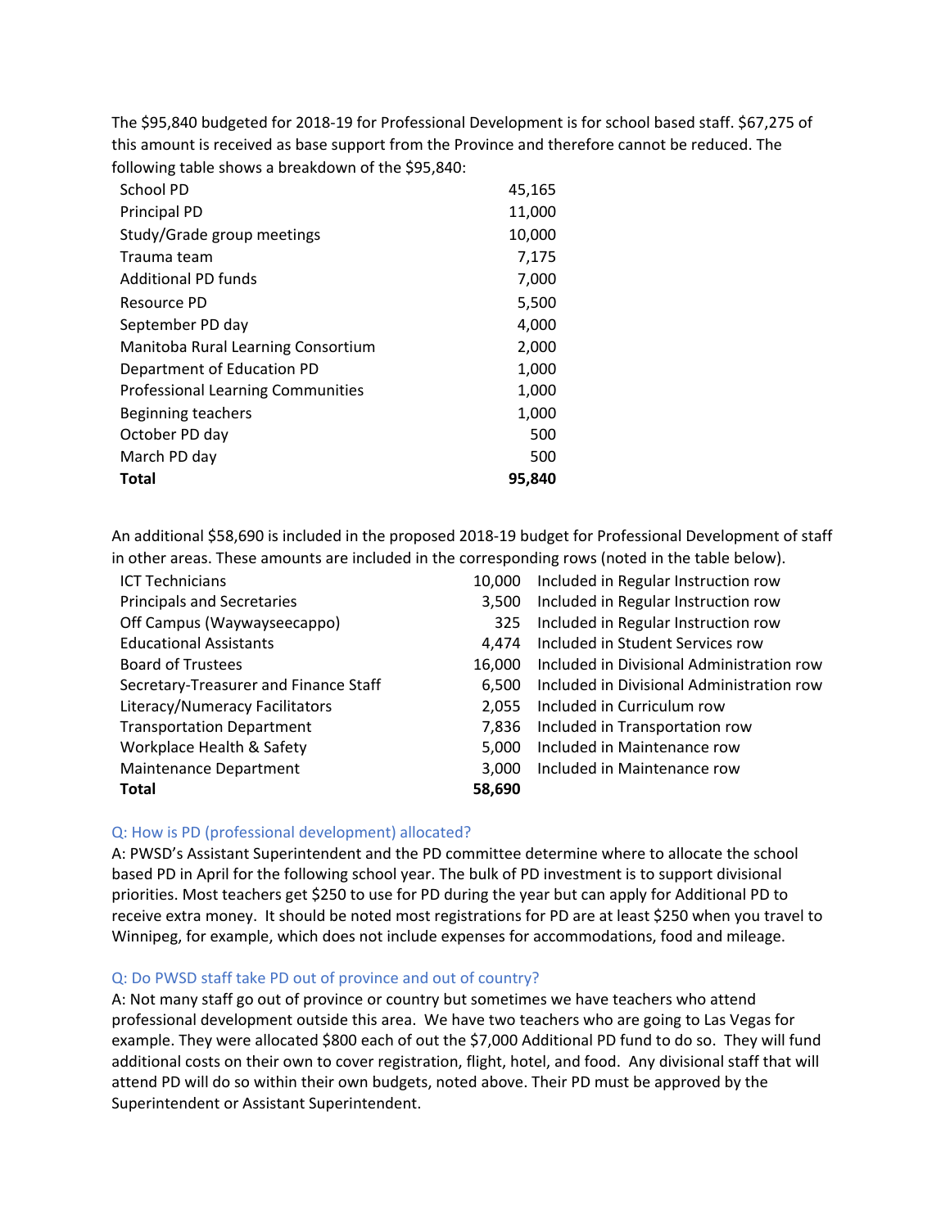The \$95,840 budgeted for 2018‐19 for Professional Development is for school based staff. \$67,275 of this amount is received as base support from the Province and therefore cannot be reduced. The following table shows a breakdown of the \$95,840:

| School PD                                | 45,165 |
|------------------------------------------|--------|
| <b>Principal PD</b>                      | 11,000 |
| Study/Grade group meetings               | 10,000 |
| Trauma team                              | 7,175  |
| <b>Additional PD funds</b>               | 7,000  |
| Resource PD                              | 5,500  |
| September PD day                         | 4,000  |
| Manitoba Rural Learning Consortium       | 2,000  |
| Department of Education PD               | 1,000  |
| <b>Professional Learning Communities</b> | 1,000  |
| Beginning teachers                       | 1,000  |
| October PD day                           | 500    |
| March PD day                             | 500    |
| <b>Total</b>                             | 95.840 |

An additional \$58,690 is included in the proposed 2018‐19 budget for Professional Development of staff in other areas. These amounts are included in the corresponding rows (noted in the table below).

| <b>ICT Technicians</b>                | 10,000 | Included in Regular Instruction row       |
|---------------------------------------|--------|-------------------------------------------|
| <b>Principals and Secretaries</b>     | 3,500  | Included in Regular Instruction row       |
| Off Campus (Waywayseecappo)           | 325    | Included in Regular Instruction row       |
| <b>Educational Assistants</b>         | 4.474  | Included in Student Services row          |
| <b>Board of Trustees</b>              | 16,000 | Included in Divisional Administration row |
| Secretary-Treasurer and Finance Staff | 6,500  | Included in Divisional Administration row |
| Literacy/Numeracy Facilitators        | 2.055  | Included in Curriculum row                |
| <b>Transportation Department</b>      | 7,836  | Included in Transportation row            |
| Workplace Health & Safety             | 5,000  | Included in Maintenance row               |
| Maintenance Department                | 3.000  | Included in Maintenance row               |
| <b>Total</b>                          | 58,690 |                                           |

### Q: How is PD (professional development) allocated?

A: PWSD's Assistant Superintendent and the PD committee determine where to allocate the school based PD in April for the following school year. The bulk of PD investment is to support divisional priorities. Most teachers get \$250 to use for PD during the year but can apply for Additional PD to receive extra money. It should be noted most registrations for PD are at least \$250 when you travel to Winnipeg, for example, which does not include expenses for accommodations, food and mileage.

#### Q: Do PWSD staff take PD out of province and out of country?

A: Not many staff go out of province or country but sometimes we have teachers who attend professional development outside this area. We have two teachers who are going to Las Vegas for example. They were allocated \$800 each of out the \$7,000 Additional PD fund to do so. They will fund additional costs on their own to cover registration, flight, hotel, and food. Any divisional staff that will attend PD will do so within their own budgets, noted above. Their PD must be approved by the Superintendent or Assistant Superintendent.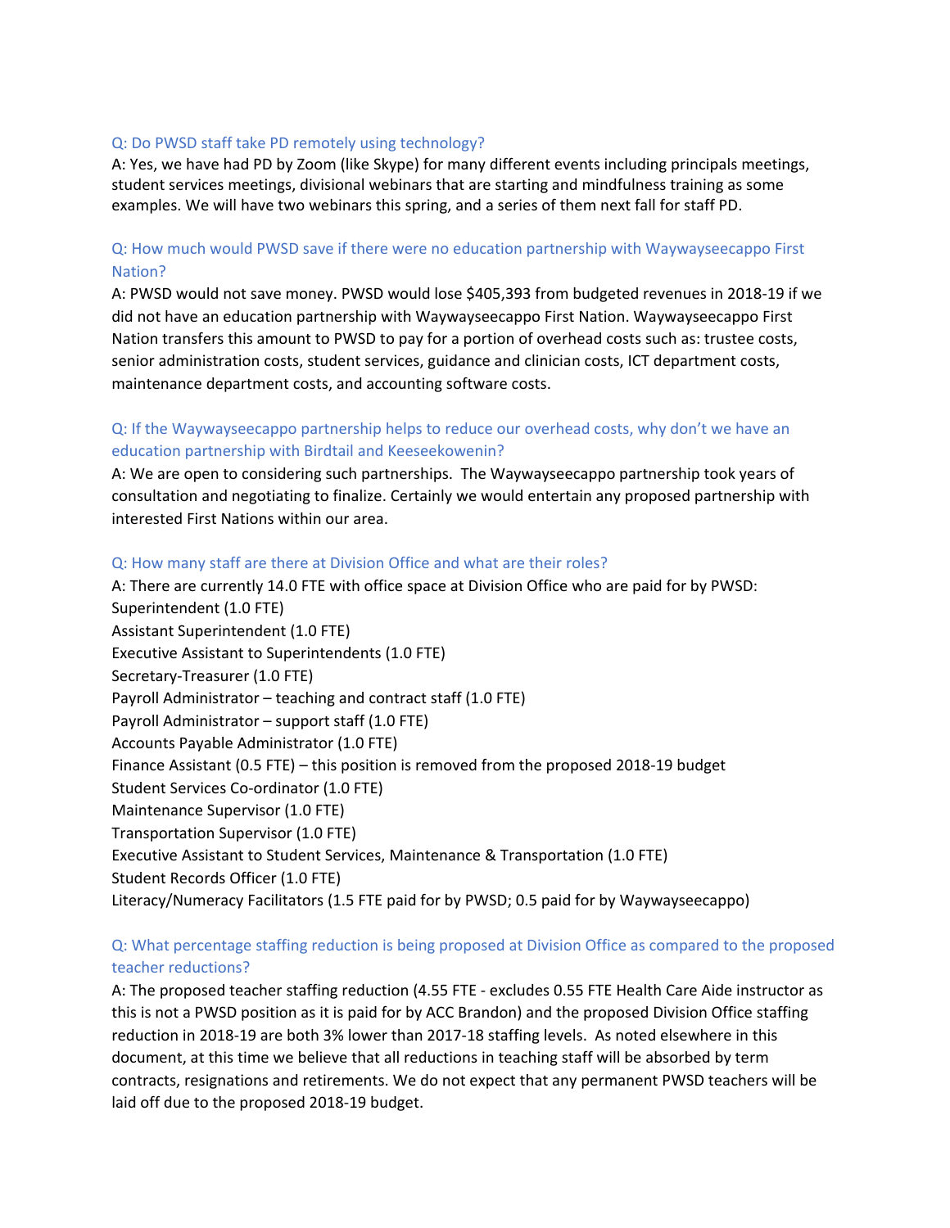### Q: Do PWSD staff take PD remotely using technology?

A: Yes, we have had PD by Zoom (like Skype) for many different events including principals meetings, student services meetings, divisional webinars that are starting and mindfulness training as some examples. We will have two webinars this spring, and a series of them next fall for staff PD.

# Q: How much would PWSD save if there were no education partnership with Waywayseecappo First Nation?

A: PWSD would not save money. PWSD would lose \$405,393 from budgeted revenues in 2018‐19 if we did not have an education partnership with Waywayseecappo First Nation. Waywayseecappo First Nation transfers this amount to PWSD to pay for a portion of overhead costs such as: trustee costs, senior administration costs, student services, guidance and clinician costs, ICT department costs, maintenance department costs, and accounting software costs.

# Q: If the Waywayseecappo partnership helps to reduce our overhead costs, why don't we have an education partnership with Birdtail and Keeseekowenin?

A: We are open to considering such partnerships. The Waywayseecappo partnership took years of consultation and negotiating to finalize. Certainly we would entertain any proposed partnership with interested First Nations within our area.

### Q: How many staff are there at Division Office and what are their roles?

A: There are currently 14.0 FTE with office space at Division Office who are paid for by PWSD: Superintendent (1.0 FTE) Assistant Superintendent (1.0 FTE) Executive Assistant to Superintendents (1.0 FTE) Secretary‐Treasurer (1.0 FTE) Payroll Administrator – teaching and contract staff (1.0 FTE) Payroll Administrator – support staff (1.0 FTE) Accounts Payable Administrator (1.0 FTE) Finance Assistant (0.5 FTE) – this position is removed from the proposed 2018‐19 budget Student Services Co-ordinator (1.0 FTE) Maintenance Supervisor (1.0 FTE) Transportation Supervisor (1.0 FTE) Executive Assistant to Student Services, Maintenance & Transportation (1.0 FTE) Student Records Officer (1.0 FTE) Literacy/Numeracy Facilitators (1.5 FTE paid for by PWSD; 0.5 paid for by Waywayseecappo)

# Q: What percentage staffing reduction is being proposed at Division Office as compared to the proposed teacher reductions?

A: The proposed teacher staffing reduction (4.55 FTE ‐ excludes 0.55 FTE Health Care Aide instructor as this is not a PWSD position as it is paid for by ACC Brandon) and the proposed Division Office staffing reduction in 2018‐19 are both 3% lower than 2017‐18 staffing levels. As noted elsewhere in this document, at this time we believe that all reductions in teaching staff will be absorbed by term contracts, resignations and retirements. We do not expect that any permanent PWSD teachers will be laid off due to the proposed 2018‐19 budget.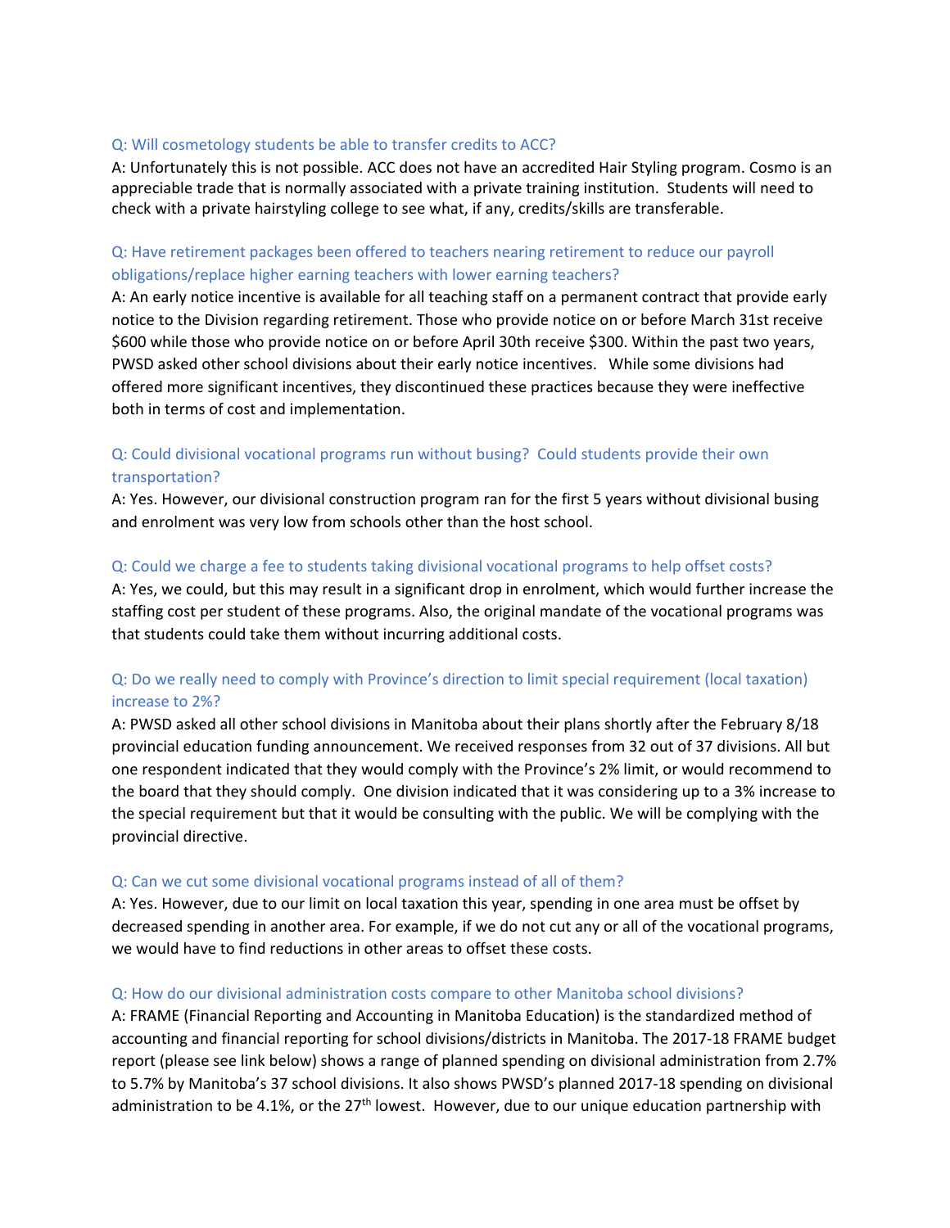### Q: Will cosmetology students be able to transfer credits to ACC?

A: Unfortunately this is not possible. ACC does not have an accredited Hair Styling program. Cosmo is an appreciable trade that is normally associated with a private training institution. Students will need to check with a private hairstyling college to see what, if any, credits/skills are transferable.

# Q: Have retirement packages been offered to teachers nearing retirement to reduce our payroll obligations/replace higher earning teachers with lower earning teachers?

A: An early notice incentive is available for all teaching staff on a permanent contract that provide early notice to the Division regarding retirement. Those who provide notice on or before March 31st receive \$600 while those who provide notice on or before April 30th receive \$300. Within the past two years, PWSD asked other school divisions about their early notice incentives. While some divisions had offered more significant incentives, they discontinued these practices because they were ineffective both in terms of cost and implementation.

# Q: Could divisional vocational programs run without busing? Could students provide their own transportation?

A: Yes. However, our divisional construction program ran for the first 5 years without divisional busing and enrolment was very low from schools other than the host school.

### Q: Could we charge a fee to students taking divisional vocational programs to help offset costs?

A: Yes, we could, but this may result in a significant drop in enrolment, which would further increase the staffing cost per student of these programs. Also, the original mandate of the vocational programs was that students could take them without incurring additional costs.

# Q: Do we really need to comply with Province's direction to limit special requirement (local taxation) increase to 2%?

A: PWSD asked all other school divisions in Manitoba about their plans shortly after the February 8/18 provincial education funding announcement. We received responses from 32 out of 37 divisions. All but one respondent indicated that they would comply with the Province's 2% limit, or would recommend to the board that they should comply. One division indicated that it was considering up to a 3% increase to the special requirement but that it would be consulting with the public. We will be complying with the provincial directive.

#### Q: Can we cut some divisional vocational programs instead of all of them?

A: Yes. However, due to our limit on local taxation this year, spending in one area must be offset by decreased spending in another area. For example, if we do not cut any or all of the vocational programs, we would have to find reductions in other areas to offset these costs.

# Q: How do our divisional administration costs compare to other Manitoba school divisions?

A: FRAME (Financial Reporting and Accounting in Manitoba Education) is the standardized method of accounting and financial reporting for school divisions/districts in Manitoba. The 2017‐18 FRAME budget report (please see link below) shows a range of planned spending on divisional administration from 2.7% to 5.7% by Manitoba's 37 school divisions. It also shows PWSD's planned 2017‐18 spending on divisional administration to be 4.1%, or the  $27<sup>th</sup>$  lowest. However, due to our unique education partnership with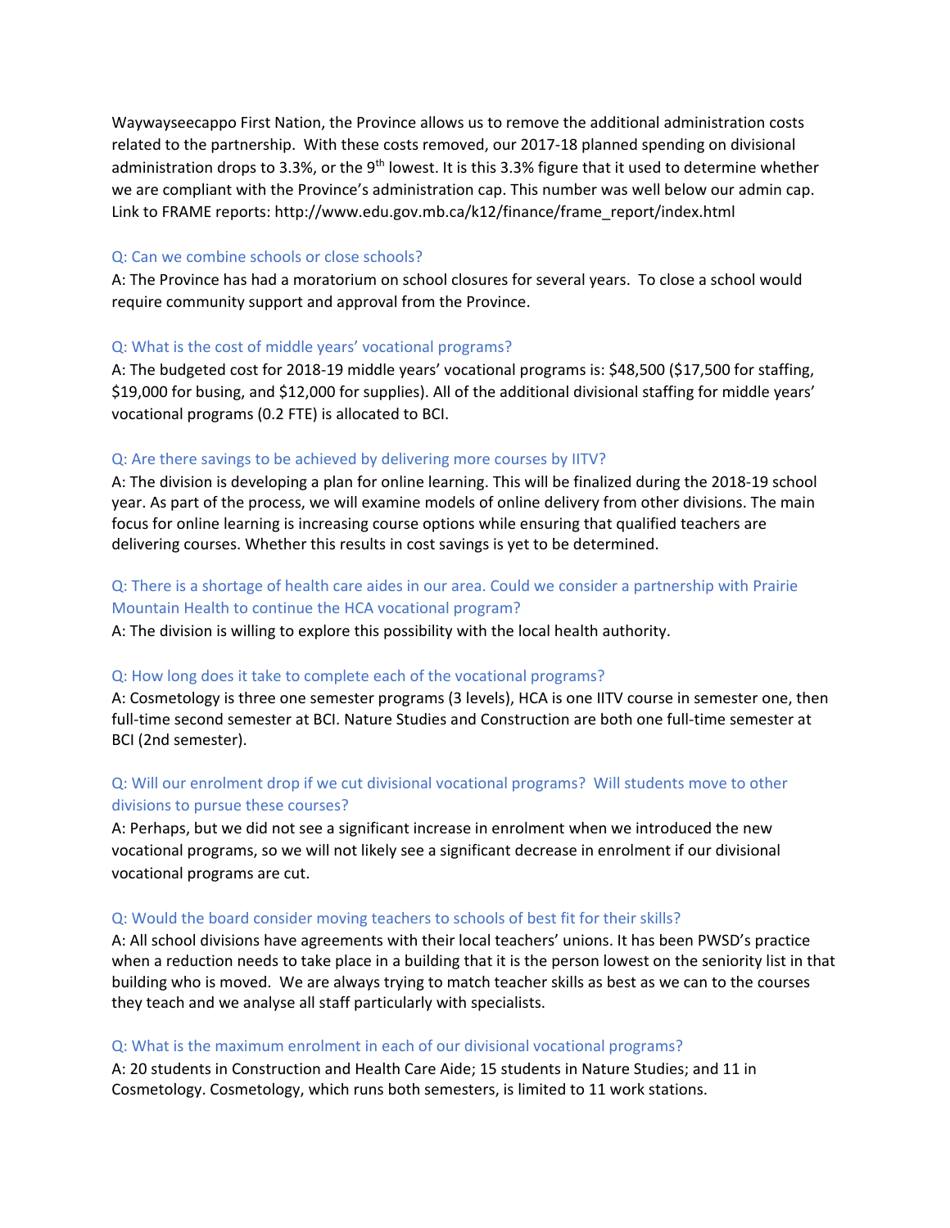Waywayseecappo First Nation, the Province allows us to remove the additional administration costs related to the partnership. With these costs removed, our 2017‐18 planned spending on divisional administration drops to 3.3%, or the 9<sup>th</sup> lowest. It is this 3.3% figure that it used to determine whether we are compliant with the Province's administration cap. This number was well below our admin cap. Link to FRAME reports: http://www.edu.gov.mb.ca/k12/finance/frame\_report/index.html

#### Q: Can we combine schools or close schools?

A: The Province has had a moratorium on school closures for several years. To close a school would require community support and approval from the Province.

#### Q: What is the cost of middle years' vocational programs?

A: The budgeted cost for 2018‐19 middle years' vocational programs is: \$48,500 (\$17,500 for staffing, \$19,000 for busing, and \$12,000 for supplies). All of the additional divisional staffing for middle years' vocational programs (0.2 FTE) is allocated to BCI.

#### Q: Are there savings to be achieved by delivering more courses by IITV?

A: The division is developing a plan for online learning. This will be finalized during the 2018‐19 school year. As part of the process, we will examine models of online delivery from other divisions. The main focus for online learning is increasing course options while ensuring that qualified teachers are delivering courses. Whether this results in cost savings is yet to be determined.

# Q: There is a shortage of health care aides in our area. Could we consider a partnership with Prairie Mountain Health to continue the HCA vocational program?

A: The division is willing to explore this possibility with the local health authority.

#### Q: How long does it take to complete each of the vocational programs?

A: Cosmetology is three one semester programs (3 levels), HCA is one IITV course in semester one, then full-time second semester at BCI. Nature Studies and Construction are both one full-time semester at BCI (2nd semester).

# Q: Will our enrolment drop if we cut divisional vocational programs? Will students move to other divisions to pursue these courses?

A: Perhaps, but we did not see a significant increase in enrolment when we introduced the new vocational programs, so we will not likely see a significant decrease in enrolment if our divisional vocational programs are cut.

#### Q: Would the board consider moving teachers to schools of best fit for their skills?

A: All school divisions have agreements with their local teachers' unions. It has been PWSD's practice when a reduction needs to take place in a building that it is the person lowest on the seniority list in that building who is moved. We are always trying to match teacher skills as best as we can to the courses they teach and we analyse all staff particularly with specialists.

#### Q: What is the maximum enrolment in each of our divisional vocational programs?

A: 20 students in Construction and Health Care Aide; 15 students in Nature Studies; and 11 in Cosmetology. Cosmetology, which runs both semesters, is limited to 11 work stations.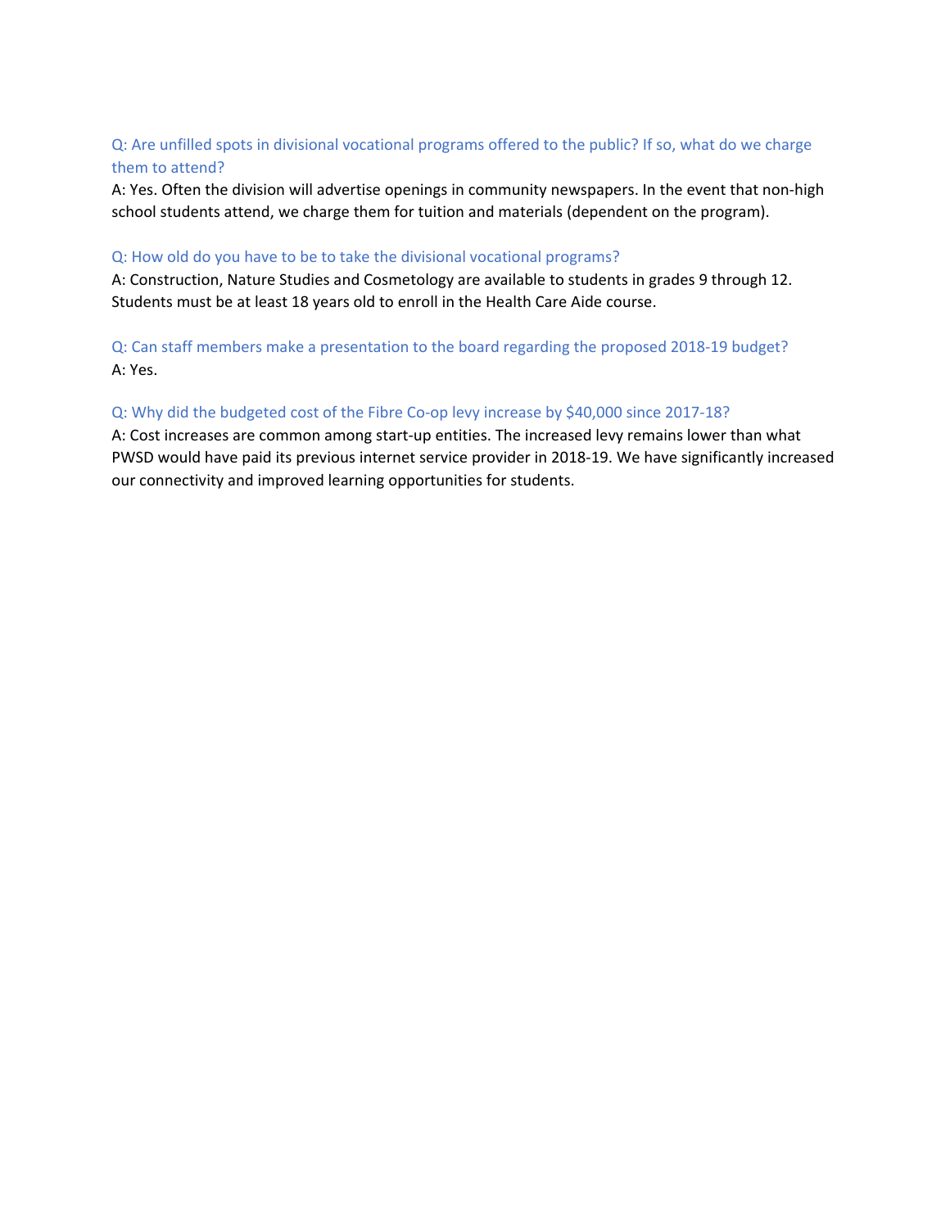# Q: Are unfilled spots in divisional vocational programs offered to the public? If so, what do we charge them to attend?

A: Yes. Often the division will advertise openings in community newspapers. In the event that non‐high school students attend, we charge them for tuition and materials (dependent on the program).

# Q: How old do you have to be to take the divisional vocational programs?

A: Construction, Nature Studies and Cosmetology are available to students in grades 9 through 12. Students must be at least 18 years old to enroll in the Health Care Aide course.

# Q: Can staff members make a presentation to the board regarding the proposed 2018‐19 budget? A: Yes.

# Q: Why did the budgeted cost of the Fibre Co-op levy increase by \$40,000 since 2017-18?

A: Cost increases are common among start‐up entities. The increased levy remains lower than what PWSD would have paid its previous internet service provider in 2018‐19. We have significantly increased our connectivity and improved learning opportunities for students.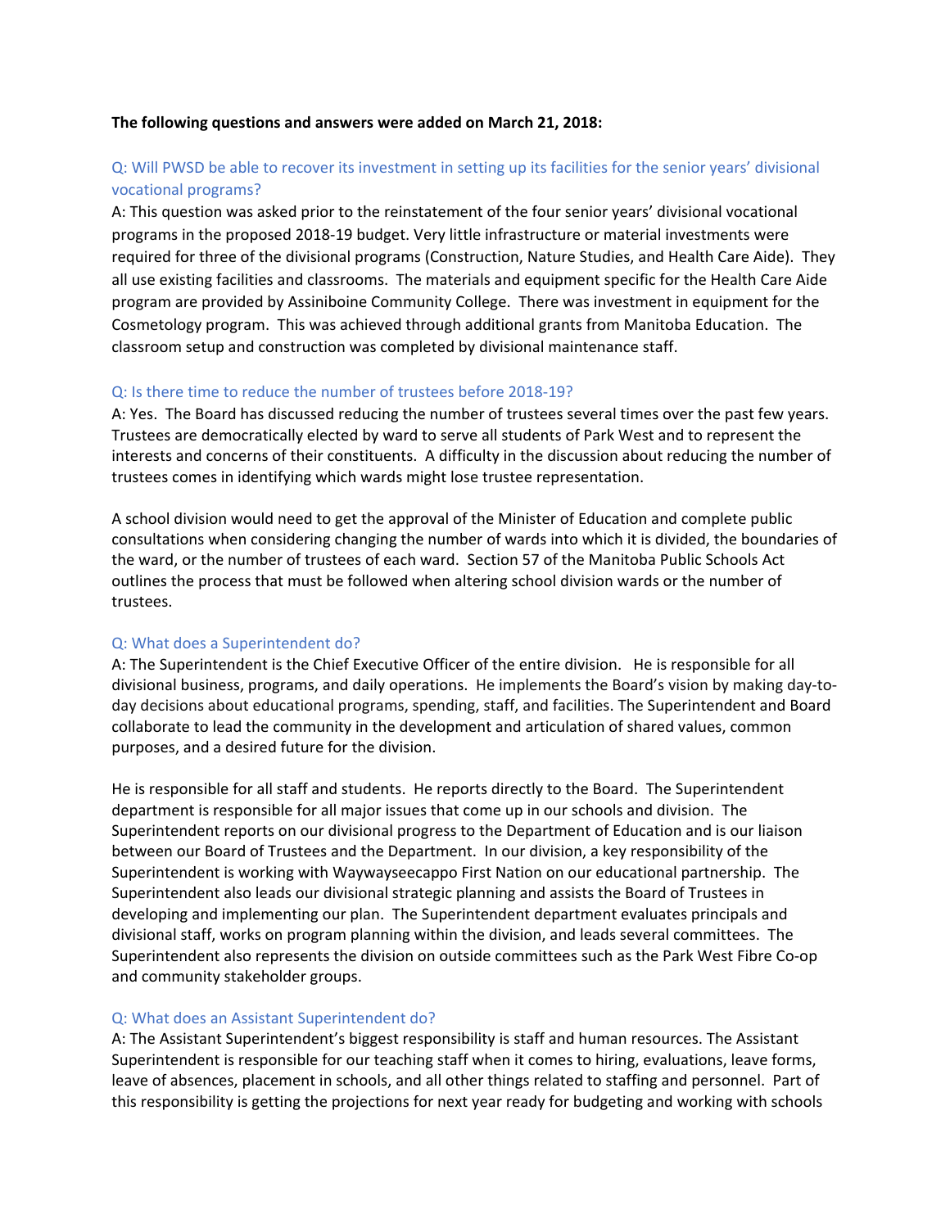#### **The following questions and answers were added on March 21, 2018:**

# Q: Will PWSD be able to recover its investment in setting up its facilities for the senior years' divisional vocational programs?

A: This question was asked prior to the reinstatement of the four senior years' divisional vocational programs in the proposed 2018‐19 budget. Very little infrastructure or material investments were required for three of the divisional programs (Construction, Nature Studies, and Health Care Aide). They all use existing facilities and classrooms. The materials and equipment specific for the Health Care Aide program are provided by Assiniboine Community College. There was investment in equipment for the Cosmetology program. This was achieved through additional grants from Manitoba Education. The classroom setup and construction was completed by divisional maintenance staff.

# Q: Is there time to reduce the number of trustees before 2018‐19?

A: Yes. The Board has discussed reducing the number of trustees several times over the past few years. Trustees are democratically elected by ward to serve all students of Park West and to represent the interests and concerns of their constituents. A difficulty in the discussion about reducing the number of trustees comes in identifying which wards might lose trustee representation.

A school division would need to get the approval of the Minister of Education and complete public consultations when considering changing the number of wards into which it is divided, the boundaries of the ward, or the number of trustees of each ward. Section 57 of the Manitoba Public Schools Act outlines the process that must be followed when altering school division wards or the number of trustees.

# Q: What does a Superintendent do?

A: The Superintendent is the Chief Executive Officer of the entire division. He is responsible for all divisional business, programs, and daily operations. He implements the Board's vision by making day‐to‐ day decisions about educational programs, spending, staff, and facilities. The Superintendent and Board collaborate to lead the community in the development and articulation of shared values, common purposes, and a desired future for the division.

He is responsible for all staff and students. He reports directly to the Board. The Superintendent department is responsible for all major issues that come up in our schools and division. The Superintendent reports on our divisional progress to the Department of Education and is our liaison between our Board of Trustees and the Department. In our division, a key responsibility of the Superintendent is working with Waywayseecappo First Nation on our educational partnership. The Superintendent also leads our divisional strategic planning and assists the Board of Trustees in developing and implementing our plan. The Superintendent department evaluates principals and divisional staff, works on program planning within the division, and leads several committees. The Superintendent also represents the division on outside committees such as the Park West Fibre Co‐op and community stakeholder groups.

# Q: What does an Assistant Superintendent do?

A: The Assistant Superintendent's biggest responsibility is staff and human resources. The Assistant Superintendent is responsible for our teaching staff when it comes to hiring, evaluations, leave forms, leave of absences, placement in schools, and all other things related to staffing and personnel. Part of this responsibility is getting the projections for next year ready for budgeting and working with schools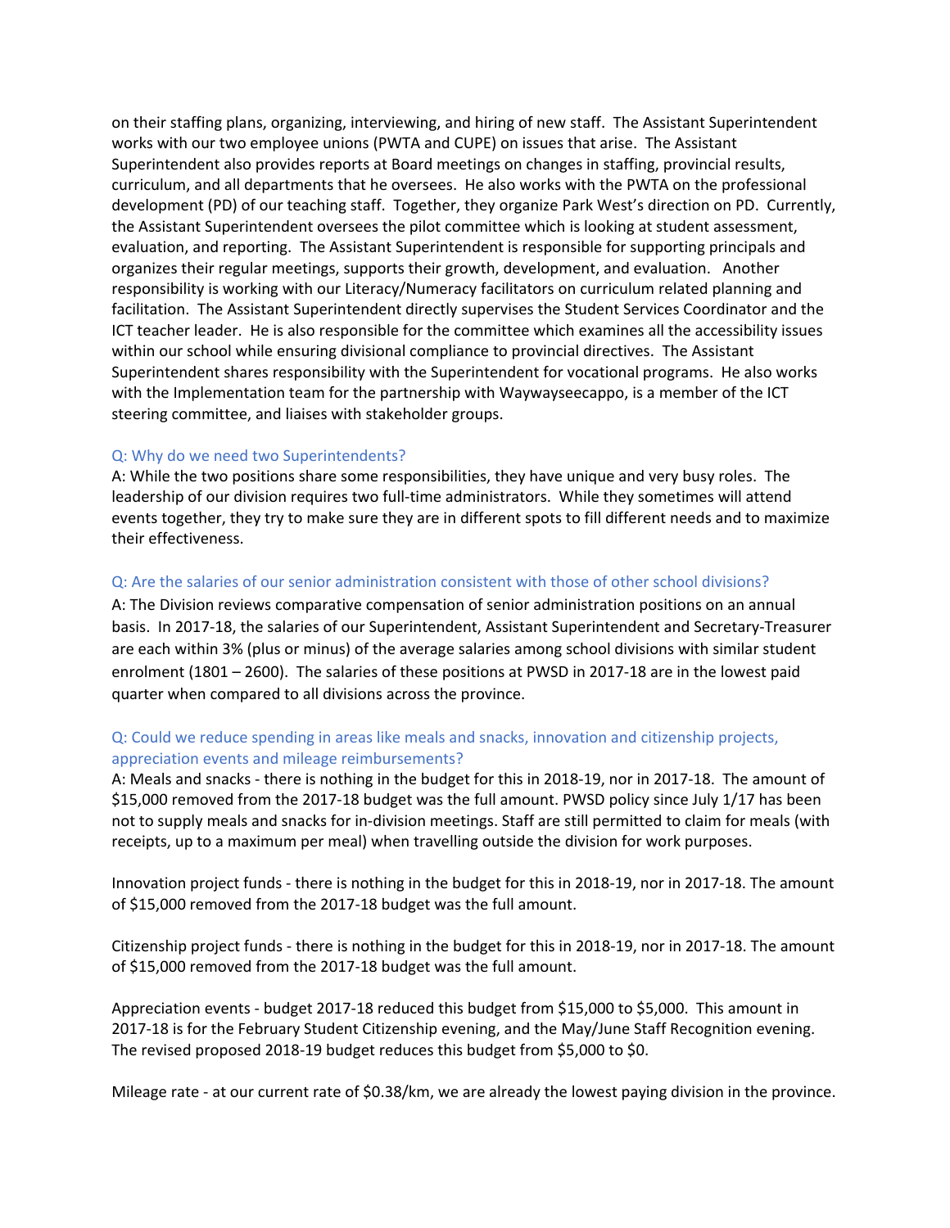on their staffing plans, organizing, interviewing, and hiring of new staff. The Assistant Superintendent works with our two employee unions (PWTA and CUPE) on issues that arise. The Assistant Superintendent also provides reports at Board meetings on changes in staffing, provincial results, curriculum, and all departments that he oversees. He also works with the PWTA on the professional development (PD) of our teaching staff. Together, they organize Park West's direction on PD. Currently, the Assistant Superintendent oversees the pilot committee which is looking at student assessment, evaluation, and reporting. The Assistant Superintendent is responsible for supporting principals and organizes their regular meetings, supports their growth, development, and evaluation. Another responsibility is working with our Literacy/Numeracy facilitators on curriculum related planning and facilitation. The Assistant Superintendent directly supervises the Student Services Coordinator and the ICT teacher leader. He is also responsible for the committee which examines all the accessibility issues within our school while ensuring divisional compliance to provincial directives. The Assistant Superintendent shares responsibility with the Superintendent for vocational programs. He also works with the Implementation team for the partnership with Waywayseecappo, is a member of the ICT steering committee, and liaises with stakeholder groups.

#### Q: Why do we need two Superintendents?

A: While the two positions share some responsibilities, they have unique and very busy roles. The leadership of our division requires two full‐time administrators. While they sometimes will attend events together, they try to make sure they are in different spots to fill different needs and to maximize their effectiveness.

#### Q: Are the salaries of our senior administration consistent with those of other school divisions?

A: The Division reviews comparative compensation of senior administration positions on an annual basis. In 2017‐18, the salaries of our Superintendent, Assistant Superintendent and Secretary‐Treasurer are each within 3% (plus or minus) of the average salaries among school divisions with similar student enrolment (1801 – 2600). The salaries of these positions at PWSD in 2017‐18 are in the lowest paid quarter when compared to all divisions across the province.

# Q: Could we reduce spending in areas like meals and snacks, innovation and citizenship projects, appreciation events and mileage reimbursements?

A: Meals and snacks ‐ there is nothing in the budget for this in 2018‐19, nor in 2017‐18. The amount of \$15,000 removed from the 2017-18 budget was the full amount. PWSD policy since July 1/17 has been not to supply meals and snacks for in‐division meetings. Staff are still permitted to claim for meals (with receipts, up to a maximum per meal) when travelling outside the division for work purposes.

Innovation project funds ‐ there is nothing in the budget for this in 2018‐19, nor in 2017‐18. The amount of \$15,000 removed from the 2017‐18 budget was the full amount.

Citizenship project funds ‐ there is nothing in the budget for this in 2018‐19, nor in 2017‐18. The amount of \$15,000 removed from the 2017‐18 budget was the full amount.

Appreciation events ‐ budget 2017‐18 reduced this budget from \$15,000 to \$5,000. This amount in 2017‐18 is for the February Student Citizenship evening, and the May/June Staff Recognition evening. The revised proposed 2018‐19 budget reduces this budget from \$5,000 to \$0.

Mileage rate - at our current rate of \$0.38/km, we are already the lowest paying division in the province.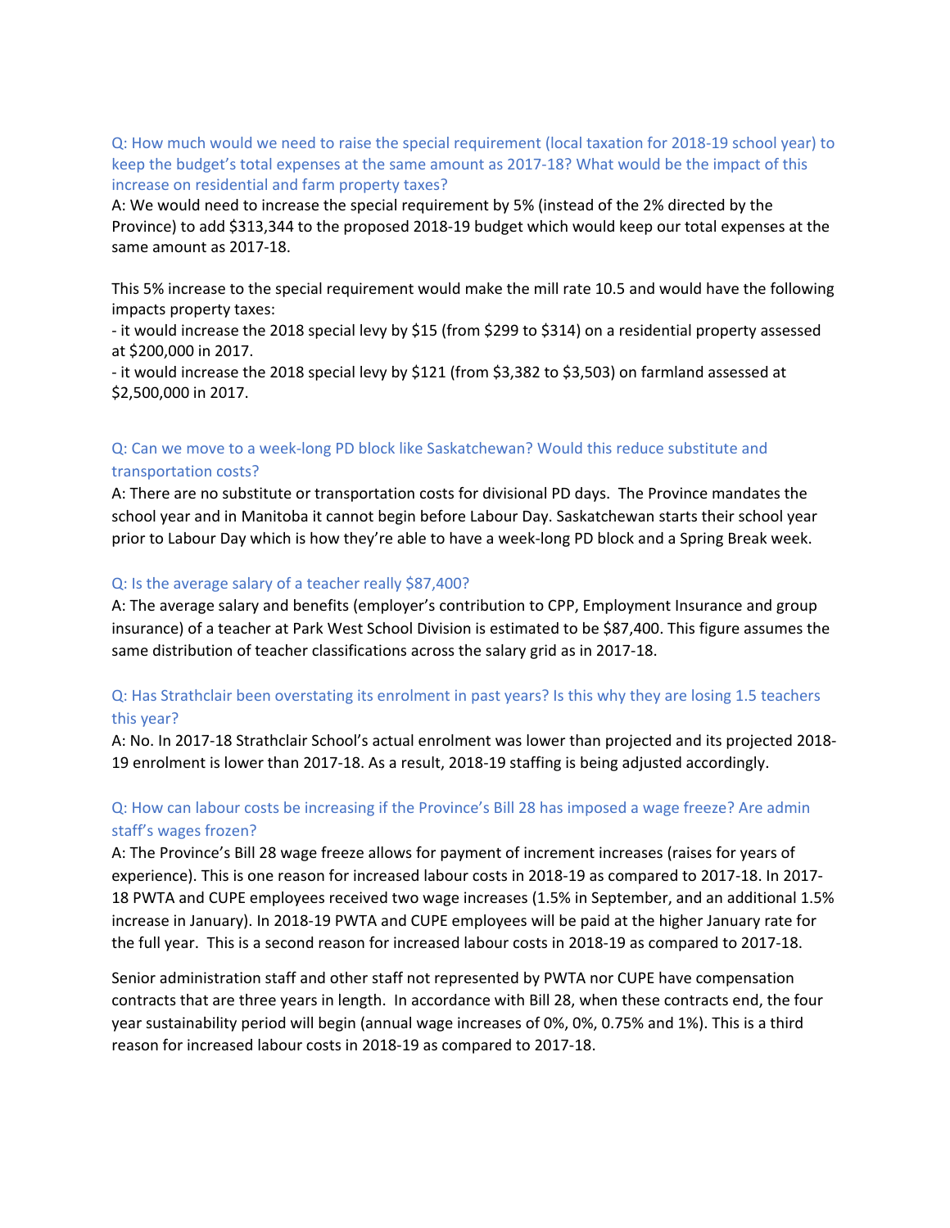Q: How much would we need to raise the special requirement (local taxation for 2018‐19 school year) to keep the budget's total expenses at the same amount as 2017-18? What would be the impact of this increase on residential and farm property taxes?

A: We would need to increase the special requirement by 5% (instead of the 2% directed by the Province) to add \$313,344 to the proposed 2018‐19 budget which would keep our total expenses at the same amount as 2017‐18.

This 5% increase to the special requirement would make the mill rate 10.5 and would have the following impacts property taxes:

‐ it would increase the 2018 special levy by \$15 (from \$299 to \$314) on a residential property assessed at \$200,000 in 2017.

‐ it would increase the 2018 special levy by \$121 (from \$3,382 to \$3,503) on farmland assessed at \$2,500,000 in 2017.

# Q: Can we move to a week‐long PD block like Saskatchewan? Would this reduce substitute and transportation costs?

A: There are no substitute or transportation costs for divisional PD days. The Province mandates the school year and in Manitoba it cannot begin before Labour Day. Saskatchewan starts their school year prior to Labour Day which is how they're able to have a week‐long PD block and a Spring Break week.

# Q: Is the average salary of a teacher really \$87,400?

A: The average salary and benefits (employer's contribution to CPP, Employment Insurance and group insurance) of a teacher at Park West School Division is estimated to be \$87,400. This figure assumes the same distribution of teacher classifications across the salary grid as in 2017‐18.

# Q: Has Strathclair been overstating its enrolment in past years? Is this why they are losing 1.5 teachers this year?

A: No. In 2017‐18 Strathclair School's actual enrolment was lower than projected and its projected 2018‐ 19 enrolment is lower than 2017‐18. As a result, 2018‐19 staffing is being adjusted accordingly.

# Q: How can labour costs be increasing if the Province's Bill 28 has imposed a wage freeze? Are admin staff's wages frozen?

A: The Province's Bill 28 wage freeze allows for payment of increment increases (raises for years of experience). This is one reason for increased labour costs in 2018‐19 as compared to 2017‐18. In 2017‐ 18 PWTA and CUPE employees received two wage increases (1.5% in September, and an additional 1.5% increase in January). In 2018‐19 PWTA and CUPE employees will be paid at the higher January rate for the full year. This is a second reason for increased labour costs in 2018‐19 as compared to 2017‐18.

Senior administration staff and other staff not represented by PWTA nor CUPE have compensation contracts that are three years in length. In accordance with Bill 28, when these contracts end, the four year sustainability period will begin (annual wage increases of 0%, 0%, 0.75% and 1%). This is a third reason for increased labour costs in 2018‐19 as compared to 2017‐18.